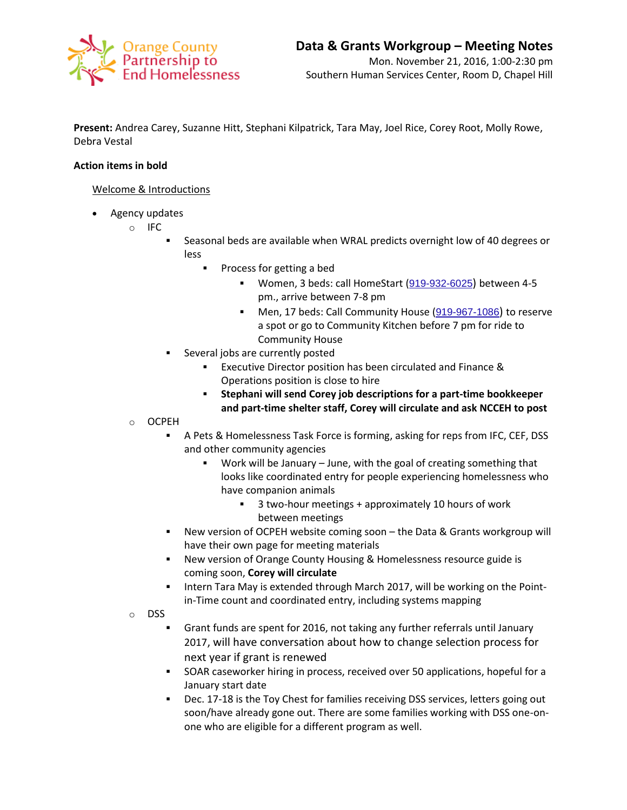

**Present:** Andrea Carey, Suzanne Hitt, Stephani Kilpatrick, Tara May, Joel Rice, Corey Root, Molly Rowe, Debra Vestal

## **Action items in bold**

## Welcome & Introductions

- Agency updates
	- o IFC
		- Seasonal beds are available when WRAL predicts overnight low of 40 degrees or less
			- Process for getting a bed
				- Women, 3 beds: call HomeStart ([919-932-6025](javascript:void(0))) between 4-5 pm., arrive between 7-8 pm
				- Men, 17 beds: Call Community House ([919-967-1086](javascript:void(0))) to reserve a spot or go to Community Kitchen before 7 pm for ride to Community House
		- Several jobs are currently posted
			- **Executive Director position has been circulated and Finance &** Operations position is close to hire
			- **Stephani will send Corey job descriptions for a part-time bookkeeper and part-time shelter staff, Corey will circulate and ask NCCEH to post**
	- o OCPEH
		- A Pets & Homelessness Task Force is forming, asking for reps from IFC, CEF, DSS and other community agencies
			- Work will be January June, with the goal of creating something that looks like coordinated entry for people experiencing homelessness who have companion animals
				- 3 two-hour meetings + approximately 10 hours of work between meetings
		- New version of OCPEH website coming soon the Data & Grants workgroup will have their own page for meeting materials
		- New version of Orange County Housing & Homelessness resource guide is coming soon, **Corey will circulate**
		- Intern Tara May is extended through March 2017, will be working on the Pointin-Time count and coordinated entry, including systems mapping
	- o DSS
		- Grant funds are spent for 2016, not taking any further referrals until January 2017, will have conversation about how to change selection process for next year if grant is renewed
		- **SOAR caseworker hiring in process, received over 50 applications, hopeful for a** January start date
		- Dec. 17-18 is the Toy Chest for families receiving DSS services, letters going out soon/have already gone out. There are some families working with DSS one-onone who are eligible for a different program as well.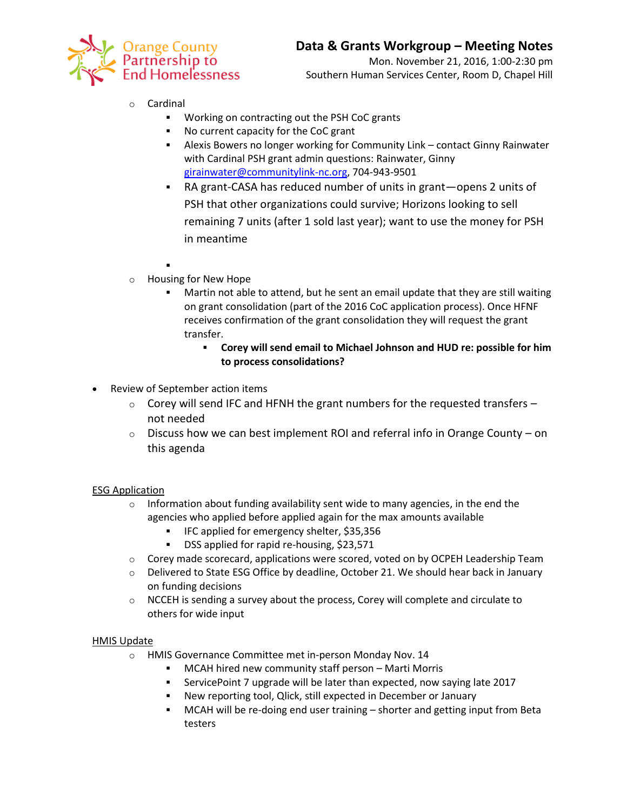

# o Cardinal

- Working on contracting out the PSH CoC grants
- No current capacity for the CoC grant
- Alexis Bowers no longer working for Community Link contact Ginny Rainwater with Cardinal PSH grant admin questions: Rainwater, Ginny [girainwater@communitylink-nc.org,](mailto:girainwater@communitylink-nc.org) 704-943-9501
	- RA grant-CASA has reduced number of units in grant—opens 2 units of PSH that other organizations could survive; Horizons looking to sell remaining 7 units (after 1 sold last year); want to use the money for PSH in meantime
- :
- o Housing for New Hope
	- Martin not able to attend, but he sent an email update that they are still waiting on grant consolidation (part of the 2016 CoC application process). Once HFNF receives confirmation of the grant consolidation they will request the grant transfer.
		- **Corey will send email to Michael Johnson and HUD re: possible for him to process consolidations?**
- Review of September action items
	- $\circ$  Corey will send IFC and HFNH the grant numbers for the requested transfers  $$ not needed
	- $\circ$  Discuss how we can best implement ROI and referral info in Orange County on this agenda

#### ESG Application

- $\circ$  Information about funding availability sent wide to many agencies, in the end the agencies who applied before applied again for the max amounts available
	- IFC applied for emergency shelter, \$35,356
	- **BEDAS DSS** applied for rapid re-housing, \$23,571
- $\circ$  Corey made scorecard, applications were scored, voted on by OCPEH Leadership Team
- o Delivered to State ESG Office by deadline, October 21. We should hear back in January on funding decisions
- $\circ$  NCCEH is sending a survey about the process, Corey will complete and circulate to others for wide input

#### HMIS Update

- o HMIS Governance Committee met in-person Monday Nov. 14
	- MCAH hired new community staff person Marti Morris
	- ServicePoint 7 upgrade will be later than expected, now saying late 2017
	- New reporting tool, Qlick, still expected in December or January
	- MCAH will be re-doing end user training shorter and getting input from Beta testers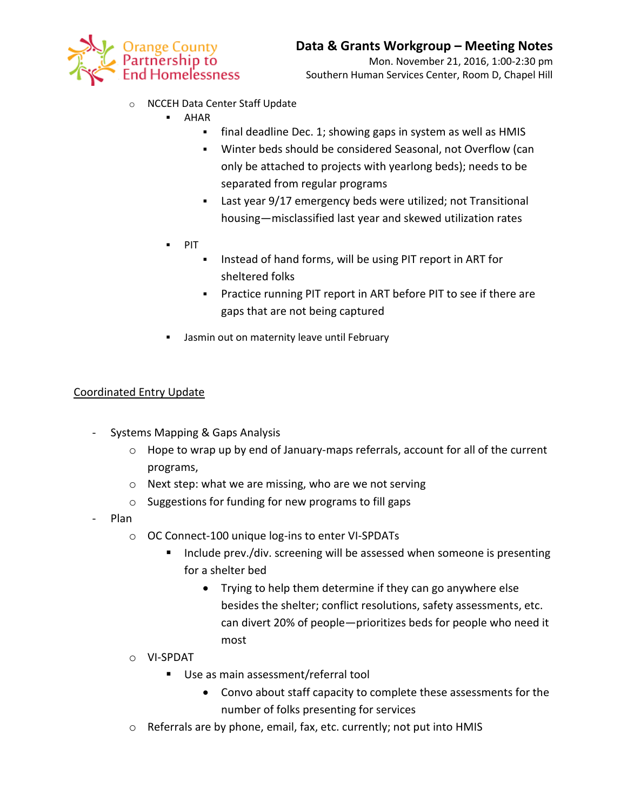

- o NCCEH Data Center Staff Update
	- AHAR
		- **final deadline Dec. 1; showing gaps in system as well as HMIS**
		- Winter beds should be considered Seasonal, not Overflow (can only be attached to projects with yearlong beds); needs to be separated from regular programs
		- Last year 9/17 emergency beds were utilized; not Transitional housing—misclassified last year and skewed utilization rates
	- $\blacksquare$  PIT
		- **Instead of hand forms, will be using PIT report in ART for** sheltered folks
		- Practice running PIT report in ART before PIT to see if there are gaps that are not being captured
	- **Jasmin out on maternity leave until February**

# Coordinated Entry Update

- Systems Mapping & Gaps Analysis
	- o Hope to wrap up by end of January-maps referrals, account for all of the current programs,
	- o Next step: what we are missing, who are we not serving
	- o Suggestions for funding for new programs to fill gaps
- Plan
	- o OC Connect-100 unique log-ins to enter VI-SPDATs
		- Include prev./div. screening will be assessed when someone is presenting for a shelter bed
			- Trying to help them determine if they can go anywhere else besides the shelter; conflict resolutions, safety assessments, etc. can divert 20% of people—prioritizes beds for people who need it most
	- o VI-SPDAT
		- Use as main assessment/referral tool
			- Convo about staff capacity to complete these assessments for the number of folks presenting for services
	- o Referrals are by phone, email, fax, etc. currently; not put into HMIS